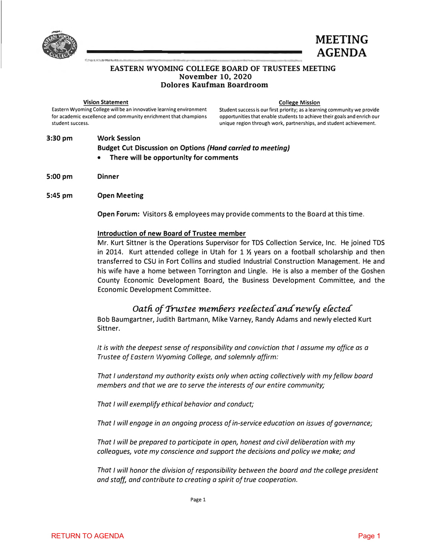<span id="page-0-0"></span>



#### **EASTERN WYOMING COLLEGE BOARD OF TRUSTEES MEETING November 10, 2020 Dolores Kaufman Boardroom**

**Vision Statement**<br>Eastern Wyoming College will be an innovative learning environment **Student success is our first priority**; as a learn student success. unique region through work, partnerships, and student achievement.

Student success is our first priority; as a learning community we provide for academic excellence and community enrichment that champions opportunities that enable students to achieve their goals and enrich our

# **3:30 pm Work Session Budget Cut Discussion on Options** *(Hand carried to meeting)*  **• There will be opportunity for comments**

- **5:00 pm Dinner**
- **5:45 pm Open Meeting**

**Open Forum:** Visitors & employees may provide comments to the Board at this time.

#### **Introduction of new Board of Trustee member**

Mr. Kurt Sittner is the Operations Supervisor for TDS Collection Service, Inc. He joined TDS in 2014. Kurt attended college in Utah for 1  $\frac{1}{2}$  years on a football scholarship and then transferred to CSU in Fort Collins and studied Industrial Construction Management. He and his wife have a home between Torrington and Lingle. He is also a member of the Goshen County Economic Development Board, the Business Development Committee, and the Economic Development Committee.

# *Oath of Trustee members reelected and newly elected*

Bob Baumgartner, Judith Bartmann, Mike Varney, Randy Adams and newly elected Kurt Sittner.

*It is with the deepest sense of responsibility and conviction that I assume my office as a Trustee of Eastern Wyoming College, and solemnly affirm:* 

*That I understand my authority exists only when acting collectively with my fellow board members and that we are to serve the interests of our entire community;* 

*That I will exemplify ethical behavior and conduct;* 

*That I will engage in an ongoing process of in-service education on issues of governance;* 

*That I will be prepared to participate in open, honest and civil deliberation with my colleagues, vote my conscience and support the decisions and policy we make; and* 

*That I will honor the division of responsibility between the board and the college president and staff, and contribute to creating a spirit of true cooperation.* 

Page 1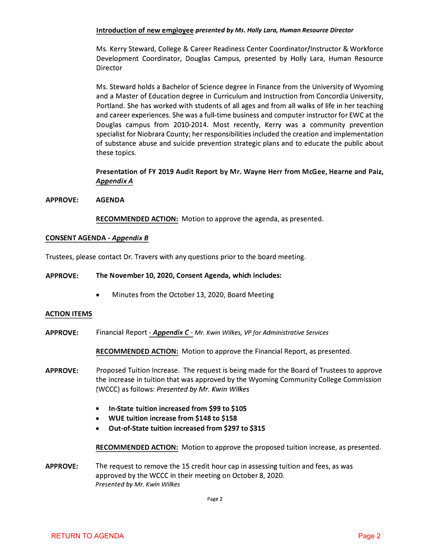**Introduction of new employee** *presented by Ms. Holly Lara, Human Resource Director* 

Ms. Kerry Steward, College & Career Readiness Center Coordinator/Instructor & Workforce Development Coordinator, Douglas Campus, presented by Holly Lara, Human Resource Director

Ms. Steward holds a Bachelor of Science degree in Finance from the University of Wyoming and a Master of Education degree in Curriculum and Instruction from Concordia University, Portland. She has worked with students of all ages and from all walks of life in her teaching and career experiences. She was a full-time business and computer instructor for EWC at the Douglas campus from 2010-2014. Most recently, Kerry was a community prevention specialist for Niobrara County; her responsibilities included the creation and implementation of substance abuse and suicide prevention strategic plans and to educate the public about these topics.

**Presentation of FY 2019 Audit Report by Mr. Wayne Herr from McGee, Hearne and Paiz,**  *Appendix A* 

**APPROVE: AGENDA** 

**RECOMMENDED ACTION:** Motion to approve the agenda, as presented.

#### **CONSENT AGENDA -***Appendix 8*

Trustees, please contact Dr. Travers with any questions prior to the board meeting.

### **APPROVE: The November 10, 2020, Consent Agenda, which includes:**

• Minutes from the October 13, 2020, Board Meeting

#### **ACTION ITEMS**

**APPROVE:** Financial Report *-Appendix* C - *Mr. Kwin Wilkes, VP for Administrative Services* 

**RECOMMENDED ACTION:** Motion to approve the Financial Report, as presented.

- **APPROVE:** Proposed Tuition Increase. The request is being made for the Board of Trustees to approve the increase in tuition that was approved by the Wyoming Community College Commission (WCCC) as follows: *Presented by Mr. Kwin Wilkes* 
	- **• In-State tuition increased from \$99 to \$105**
	- **• WUE tuition increase from \$148 to \$158**
	- **• Out-of-State tuition increased from \$297 to \$315**

**RECOMMENDED ACTION:** Motion to approve the proposed tuition increase, as presented.

**APPROVE:** The request to remove the 15 credit hour cap in assessing tuition and fees, as was approved by the WCCC in their meeting on October 8, 2020. *Presented by Mr. Kwin Wilkes* 

Page 2